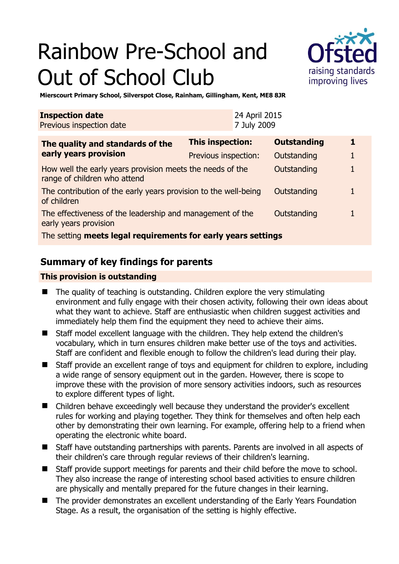# Rainbow Pre-School and Out of School Club



**Mierscourt Primary School, Silverspot Close, Rainham, Gillingham, Kent, ME8 8JR** 

| <b>Inspection date</b><br>Previous inspection date                                        |                      | 24 April 2015<br>7 July 2009 |                    |   |
|-------------------------------------------------------------------------------------------|----------------------|------------------------------|--------------------|---|
| The quality and standards of the<br>early years provision                                 | This inspection:     |                              | <b>Outstanding</b> | 1 |
|                                                                                           | Previous inspection: |                              | Outstanding        |   |
| How well the early years provision meets the needs of the<br>range of children who attend |                      |                              | Outstanding        |   |
| The contribution of the early years provision to the well-being<br>of children            |                      |                              | Outstanding        |   |
| The effectiveness of the leadership and management of the<br>early years provision        |                      |                              | Outstanding        |   |
| The setting meets legal requirements for early years settings                             |                      |                              |                    |   |

# **Summary of key findings for parents**

#### **This provision is outstanding**

- The quality of teaching is outstanding. Children explore the very stimulating environment and fully engage with their chosen activity, following their own ideas about what they want to achieve. Staff are enthusiastic when children suggest activities and immediately help them find the equipment they need to achieve their aims.
- Staff model excellent language with the children. They help extend the children's vocabulary, which in turn ensures children make better use of the toys and activities. Staff are confident and flexible enough to follow the children's lead during their play.
- Staff provide an excellent range of toys and equipment for children to explore, including a wide range of sensory equipment out in the garden. However, there is scope to improve these with the provision of more sensory activities indoors, such as resources to explore different types of light.
- Children behave exceedingly well because they understand the provider's excellent rules for working and playing together. They think for themselves and often help each other by demonstrating their own learning. For example, offering help to a friend when operating the electronic white board.
- Staff have outstanding partnerships with parents. Parents are involved in all aspects of their children's care through regular reviews of their children's learning.
- Staff provide support meetings for parents and their child before the move to school. They also increase the range of interesting school based activities to ensure children are physically and mentally prepared for the future changes in their learning.
- The provider demonstrates an excellent understanding of the Early Years Foundation Stage. As a result, the organisation of the setting is highly effective.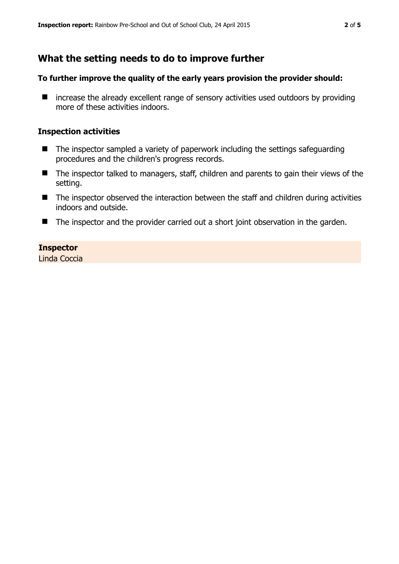## **What the setting needs to do to improve further**

#### **To further improve the quality of the early years provision the provider should:**

 $\blacksquare$  increase the already excellent range of sensory activities used outdoors by providing more of these activities indoors.

#### **Inspection activities**

- $\blacksquare$  The inspector sampled a variety of paperwork including the settings safeguarding procedures and the children's progress records.
- The inspector talked to managers, staff, children and parents to gain their views of the setting.
- The inspector observed the interaction between the staff and children during activities indoors and outside.
- The inspector and the provider carried out a short joint observation in the garden.

#### **Inspector**

Linda Coccia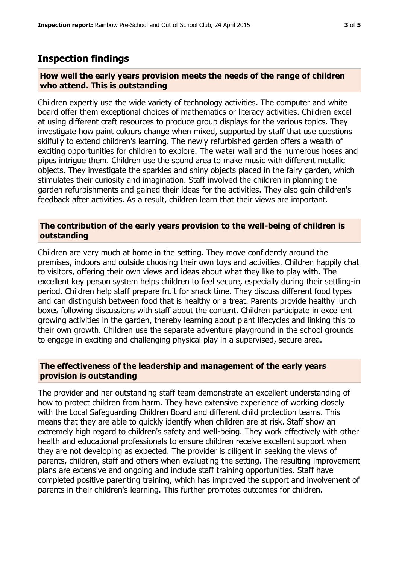### **Inspection findings**

#### **How well the early years provision meets the needs of the range of children who attend. This is outstanding**

Children expertly use the wide variety of technology activities. The computer and white board offer them exceptional choices of mathematics or literacy activities. Children excel at using different craft resources to produce group displays for the various topics. They investigate how paint colours change when mixed, supported by staff that use questions skilfully to extend children's learning. The newly refurbished garden offers a wealth of exciting opportunities for children to explore. The water wall and the numerous hoses and pipes intrigue them. Children use the sound area to make music with different metallic objects. They investigate the sparkles and shiny objects placed in the fairy garden, which stimulates their curiosity and imagination. Staff involved the children in planning the garden refurbishments and gained their ideas for the activities. They also gain children's feedback after activities. As a result, children learn that their views are important.

#### **The contribution of the early years provision to the well-being of children is outstanding**

Children are very much at home in the setting. They move confidently around the premises, indoors and outside choosing their own toys and activities. Children happily chat to visitors, offering their own views and ideas about what they like to play with. The excellent key person system helps children to feel secure, especially during their settling-in period. Children help staff prepare fruit for snack time. They discuss different food types and can distinguish between food that is healthy or a treat. Parents provide healthy lunch boxes following discussions with staff about the content. Children participate in excellent growing activities in the garden, thereby learning about plant lifecycles and linking this to their own growth. Children use the separate adventure playground in the school grounds to engage in exciting and challenging physical play in a supervised, secure area.

#### **The effectiveness of the leadership and management of the early years provision is outstanding**

The provider and her outstanding staff team demonstrate an excellent understanding of how to protect children from harm. They have extensive experience of working closely with the Local Safeguarding Children Board and different child protection teams. This means that they are able to quickly identify when children are at risk. Staff show an extremely high regard to children's safety and well-being. They work effectively with other health and educational professionals to ensure children receive excellent support when they are not developing as expected. The provider is diligent in seeking the views of parents, children, staff and others when evaluating the setting. The resulting improvement plans are extensive and ongoing and include staff training opportunities. Staff have completed positive parenting training, which has improved the support and involvement of parents in their children's learning. This further promotes outcomes for children.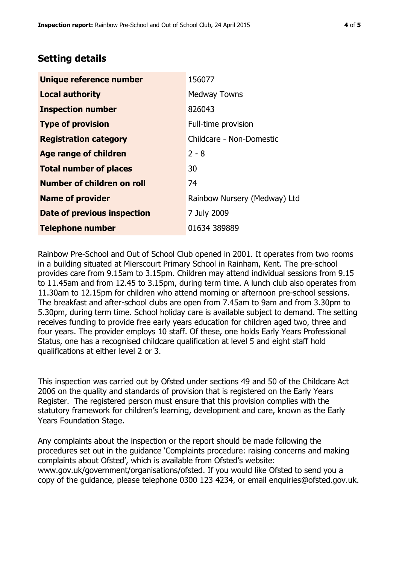# **Setting details**

| Unique reference number       | 156077                       |  |
|-------------------------------|------------------------------|--|
| <b>Local authority</b>        | <b>Medway Towns</b>          |  |
| <b>Inspection number</b>      | 826043                       |  |
| <b>Type of provision</b>      | Full-time provision          |  |
| <b>Registration category</b>  | Childcare - Non-Domestic     |  |
| Age range of children         | $2 - 8$                      |  |
| <b>Total number of places</b> | 30                           |  |
| Number of children on roll    | 74                           |  |
| <b>Name of provider</b>       | Rainbow Nursery (Medway) Ltd |  |
| Date of previous inspection   | 7 July 2009                  |  |
| <b>Telephone number</b>       | 01634 389889                 |  |

Rainbow Pre-School and Out of School Club opened in 2001. It operates from two rooms in a building situated at Mierscourt Primary School in Rainham, Kent. The pre-school provides care from 9.15am to 3.15pm. Children may attend individual sessions from 9.15 to 11.45am and from 12.45 to 3.15pm, during term time. A lunch club also operates from 11.30am to 12.15pm for children who attend morning or afternoon pre-school sessions. The breakfast and after-school clubs are open from 7.45am to 9am and from 3.30pm to 5.30pm, during term time. School holiday care is available subject to demand. The setting receives funding to provide free early years education for children aged two, three and four years. The provider employs 10 staff. Of these, one holds Early Years Professional Status, one has a recognised childcare qualification at level 5 and eight staff hold qualifications at either level 2 or 3.

This inspection was carried out by Ofsted under sections 49 and 50 of the Childcare Act 2006 on the quality and standards of provision that is registered on the Early Years Register. The registered person must ensure that this provision complies with the statutory framework for children's learning, development and care, known as the Early Years Foundation Stage.

Any complaints about the inspection or the report should be made following the procedures set out in the guidance 'Complaints procedure: raising concerns and making complaints about Ofsted', which is available from Ofsted's website: www.gov.uk/government/organisations/ofsted. If you would like Ofsted to send you a copy of the guidance, please telephone 0300 123 4234, or email enquiries@ofsted.gov.uk.